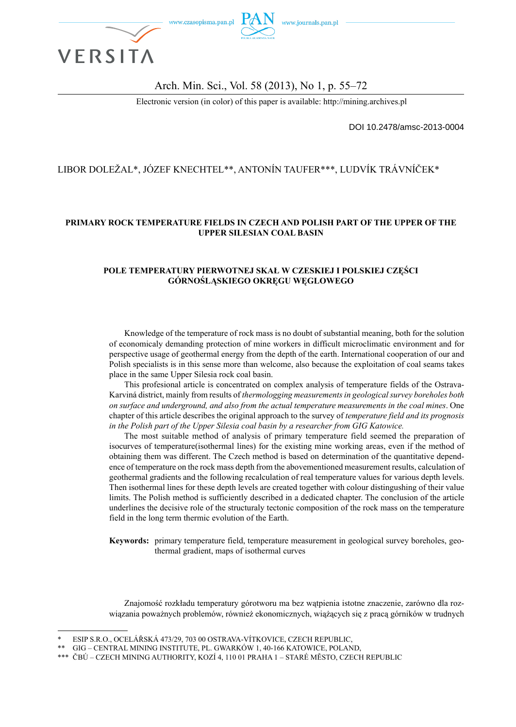

Arch. Min. Sci., Vol. 58 (2013), No 1, p. 55–72

Electronic version (in color) of this paper is available: http://mining.archives.pl

DOI 10.2478/amsc-2013-0004

### LIBOR DOLEŽAL\*, JÓZEF KNECHTEL\*\*, ANTONÍN TAUFER\*\*\*, LUDVÍK TRÁVNÍČEK\*

#### **PRIMARY ROCK TEMPERATURE FIELDS IN CZECH AND POLISH PART OF THE UPPER OF THE UPPER SILESIAN COAL BASIN**

#### **POLE TEMPERATURY PIERWOTNEJ SKAŁ W CZESKIEJ I POLSKIEJ CZĘŚCI GÓRNOŚLĄSKIEGO OKRĘGU WĘGLOWEGO**

Knowledge of the temperature of rock mass is no doubt of substantial meaning, both for the solution of economicaly demanding protection of mine workers in difficult microclimatic environment and for perspective usage of geothermal energy from the depth of the earth. International cooperation of our and Polish specialists is in this sense more than welcome, also because the exploitation of coal seams takes place in the same Upper Silesia rock coal basin.

This profesional article is concentrated on complex analysis of temperature fields of the Ostrava-Karviná district, mainly from results of *thermologging measurements in geological survey boreholes both on surface and underground, and also from the actual temperature measurements in the coal mines*. One chapter of this article describes the original approach to the survey of *temperature field and its prognosis in the Polish part of the Upper Silesia coal basin by a researcher from GIG Katowice.*

The most suitable method of analysis of primary temperature field seemed the preparation of isocurves of temperature(isothermal lines) for the existing mine working areas, even if the method of obtaining them was different. The Czech method is based on determination of the quantitative dependence of temperature on the rock mass depth from the abovementioned measurement results, calculation of geothermal gradients and the following recalculation of real temperature values for various depth levels. Then isothermal lines for these depth levels are created together with colour distingushing of their value limits. The Polish method is sufficiently described in a dedicated chapter. The conclusion of the article underlines the decisive role of the structuraly tectonic composition of the rock mass on the temperature field in the long term thermic evolution of the Earth.

**Keywords:** primary temperature field, temperature measurement in geological survey boreholes, geothermal gradient, maps of isothermal curves

Znajomość rozkładu temperatury górotworu ma bez wątpienia istotne znaczenie, zarówno dla rozwiązania poważnych problemów, również ekonomicznych, wiążących się z pracą górników w trudnych

ESIP S.R.O., OCELÁŘSKÁ 473/29, 703 00 OSTRAVA-VÍTKOVICE, CZECH REPUBLIC,

<sup>\*\*</sup> GIG – CENTRAL MINING INSTITUTE, PL. GWARKÓW 1, 40-166 KATOWICE, POLAND,

<sup>\*\*\*</sup> ČBÚ – CZECH MINING AUTHORITY, KOZÍ 4, 110 01 PRAHA 1 – STARÉ MĚSTO, CZECH REPUBLIC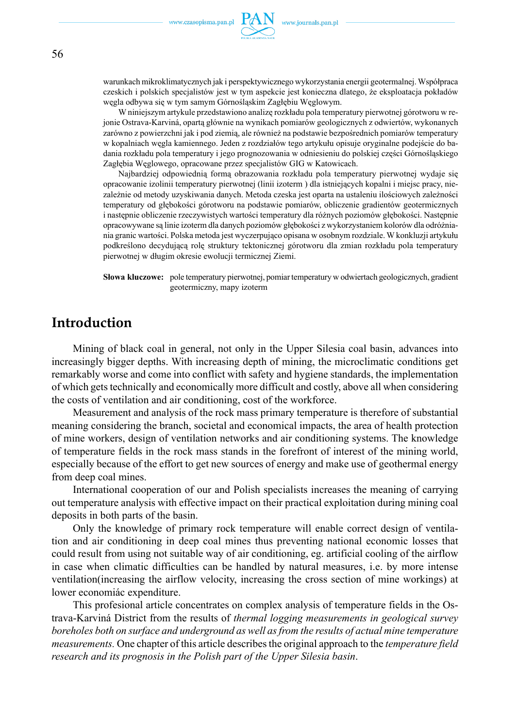

warunkach mikroklimatycznych jak i perspektywicznego wykorzystania energii geotermalnej. Współpraca czeskich i polskich specjalistów jest w tym aspekcie jest konieczna dlatego, że eksploatacja pokładów węgla odbywa się w tym samym Górnośląskim Zagłębiu Węglowym.

W niniejszym artykule przedstawiono analizę rozkładu pola temperatury pierwotnej górotworu w rejonie Ostrava-Karviná, opartą głównie na wynikach pomiarów geologicznych z odwiertów, wykonanych zarówno z powierzchni jak i pod ziemią, ale również na podstawie bezpośrednich pomiarów temperatury w kopalniach węgla kamiennego. Jeden z rozdziałów tego artykułu opisuje oryginalne podejście do badania rozkładu pola temperatury i jego prognozowania w odniesieniu do polskiej części Górnośląskiego Zagłębia Węglowego, opracowane przez specjalistów GIG w Katowicach.

Najbardziej odpowiednią formą obrazowania rozkładu pola temperatury pierwotnej wydaje się opracowanie izolinii temperatury pierwotnej (linii izoterm ) dla istniejących kopalni i miejsc pracy, niezależnie od metody uzyskiwania danych. Metoda czeska jest oparta na ustaleniu ilościowych zależności temperatury od głębokości górotworu na podstawie pomiarów, obliczenie gradientów geotermicznych i następnie obliczenie rzeczywistych wartości temperatury dla różnych poziomów głębokości. Następnie opracowywane są linie izoterm dla danych poziomów głębokości z wykorzystaniem kolorów dla odróżniania granic wartości. Polska metoda jest wyczerpująco opisana w osobnym rozdziale. W konkluzji artykułu podkreślono decydującą rolę struktury tektonicznej górotworu dla zmian rozkładu pola temperatury pierwotnej w długim okresie ewolucji termicznej Ziemi.

**Słowa kluczowe:** pole temperatury pierwotnej, pomiar temperatury w odwiertach geologicznych, gradient geotermiczny, mapy izoterm

# **Introduction**

Mining of black coal in general, not only in the Upper Silesia coal basin, advances into increasingly bigger depths. With increasing depth of mining, the microclimatic conditions get remarkably worse and come into conflict with safety and hygiene standards, the implementation of which gets technically and economically more difficult and costly, above all when considering the costs of ventilation and air conditioning, cost of the workforce.

Measurement and analysis of the rock mass primary temperature is therefore of substantial meaning considering the branch, societal and economical impacts, the area of health protection of mine workers, design of ventilation networks and air conditioning systems. The knowledge of temperature fields in the rock mass stands in the forefront of interest of the mining world, especially because of the effort to get new sources of energy and make use of geothermal energy from deep coal mines.

International cooperation of our and Polish specialists increases the meaning of carrying out temperature analysis with effective impact on their practical exploitation during mining coal deposits in both parts of the basin.

Only the knowledge of primary rock temperature will enable correct design of ventilation and air conditioning in deep coal mines thus preventing national economic losses that could result from using not suitable way of air conditioning, eg. artificial cooling of the airflow in case when climatic difficulties can be handled by natural measures, i.e. by more intense ventilation(increasing the airflow velocity, increasing the cross section of mine workings) at lower economiác expenditure.

This profesional article concentrates on complex analysis of temperature fields in the Ostrava-Karviná District from the results of *thermal logging measurements in geological survey boreholes both on surface and underground as well as from the results of actual mine temperature measurements.* One chapter of this article describes the original approach to the *temperature field research and its prognosis in the Polish part of the Upper Silesia basin*.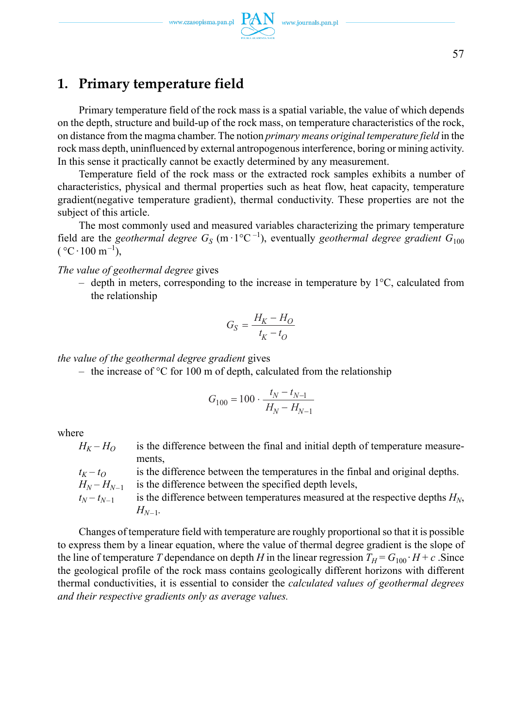

# **1. Primary temperature field**

Primary temperature field of the rock mass is a spatial variable, the value of which depends on the depth, structure and build-up of the rock mass, on temperature characteristics of the rock, on distance from the magma chamber. The notion *primary means original temperature field* in the rock mass depth, uninfluenced by external antropogenous interference, boring or mining activity. In this sense it practically cannot be exactly determined by any measurement.

Temperature field of the rock mass or the extracted rock samples exhibits a number of characteristics, physical and thermal properties such as heat flow, heat capacity, temperature gradient(negative temperature gradient), thermal conductivity. These properties are not the subject of this article.

The most commonly used and measured variables characterizing the primary temperature field are the *geothermal degree*  $G_S$  (m·1°C<sup>-1</sup>), eventually *geothermal degree gradient*  $G_{100}$  $(^{\circ}C \cdot 100 \text{ m}^{-1})$ ,

*The value of geothermal degree* gives

– depth in meters, corresponding to the increase in temperature by 1°C, calculated from the relationship

$$
G_S = \frac{H_K - H_O}{t_K - t_O}
$$

*the value of the geothermal degree gradient* gives

– the increase of  $\mathrm{C}$  for 100 m of depth, calculated from the relationship

$$
G_{100} = 100 \cdot \frac{t_N - t_{N-1}}{H_N - H_{N-1}}
$$

where

 $H_K - H_O$  is the difference between the final and initial depth of temperature measurements,

 $t_K - t_O$  is the difference between the temperatures in the finbal and original depths.<br>  $H_N - H_{N-1}$  is the difference between the specified depth levels, is the difference between the specified depth levels,

 $t_N - t_{N-1}$  is the difference between temperatures measured at the respective depths  $H_N$ ,  $H_{N-1}$ .

Changes of temperature field with temperature are roughly proportional so that it is possible to express them by a linear equation, where the value of thermal degree gradient is the slope of the line of temperature *T* dependance on depth *H* in the linear regression  $T_H = G_{100} \cdot H + c$ . Since the geological profile of the rock mass contains geologically different horizons with different thermal conductivities, it is essential to consider the *calculated values of geothermal degrees and their respective gradients only as average values.*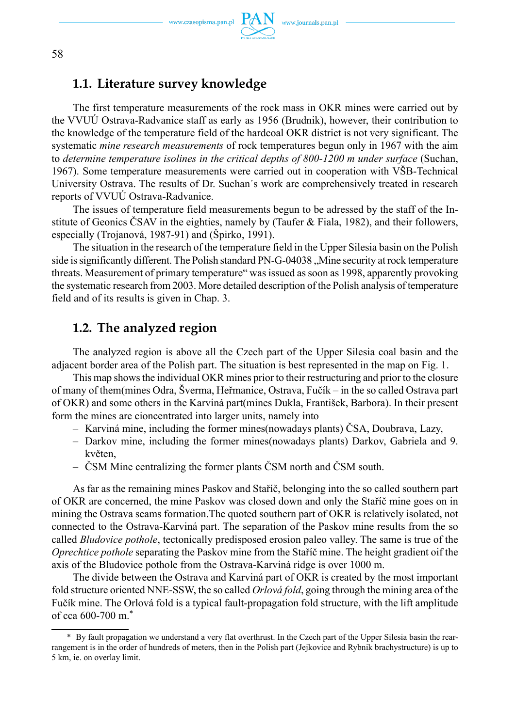

### **1.1. Literature survey knowledge**

The first temperature measurements of the rock mass in OKR mines were carried out by the VVUÚ Ostrava-Radvanice staff as early as 1956 (Brudnik), however, their contribution to the knowledge of the temperature field of the hardcoal OKR district is not very significant. The systematic *mine research measurements* of rock temperatures begun only in 1967 with the aim to *determine temperature isolines in the critical depths of 800-1200 m under surface* (Suchan, 1967). Some temperature measurements were carried out in cooperation with VŠB-Technical University Ostrava. The results of Dr. Suchan´s work are comprehensively treated in research reports of VVUÚ Ostrava-Radvanice.

The issues of temperature field measurements begun to be adressed by the staff of the Institute of Geonics ČSAV in the eighties, namely by (Taufer  $&$  Fiala, 1982), and their followers, especially (Trojanová, 1987-91) and (Špirko, 1991).

The situation in the research of the temperature field in the Upper Silesia basin on the Polish side is significantly different. The Polish standard PN-G-04038 "Mine security at rock temperature threats. Measurement of primary temperature" was issued as soon as 1998, apparently provoking the systematic research from 2003. More detailed description of the Polish analysis of temperature field and of its results is given in Chap. 3.

### **1.2. The analyzed region**

The analyzed region is above all the Czech part of the Upper Silesia coal basin and the adjacent border area of the Polish part. The situation is best represented in the map on Fig. 1.

This map shows the individual OKR mines prior to their restructuring and prior to the closure of many of them(mines Odra, Šverma, Heřmanice, Ostrava, Fučík – in the so called Ostrava part of OKR) and some others in the Karviná part(mines Dukla, František, Barbora). In their present form the mines are cioncentrated into larger units, namely into

- Karviná mine, including the former mines(nowadays plants) ČSA, Doubrava, Lazy,
- Darkov mine, including the former mines(nowadays plants) Darkov, Gabriela and 9. květen,
- ČSM Mine centralizing the former plants ČSM north and ČSM south.

As far as the remaining mines Paskov and Staříč, belonging into the so called southern part of OKR are concerned, the mine Paskov was closed down and only the Staříč mine goes on in mining the Ostrava seams formation.The quoted southern part of OKR is relatively isolated, not connected to the Ostrava-Karviná part. The separation of the Paskov mine results from the so called *Bludovice pothole*, tectonically predisposed erosion paleo valley. The same is true of the *Oprechtice pothole* separating the Paskov mine from the Staříč mine. The height gradient oif the axis of the Bludovice pothole from the Ostrava-Karviná ridge is over 1000 m.

The divide between the Ostrava and Karviná part of OKR is created by the most important fold structure oriented NNE-SSW, the so called *Orlová fold*, going through the mining area of the Fučík mine. The Orlová fold is a typical fault-propagation fold structure, with the lift amplitude of cca 600-700 m.\*

<sup>\*</sup> By fault propagation we understand a very flat overthrust. In the Czech part of the Upper Silesia basin the rearrangement is in the order of hundreds of meters, then in the Polish part (Jejkovice and Rybnik brachystructure) is up to 5 km, ie. on overlay limit.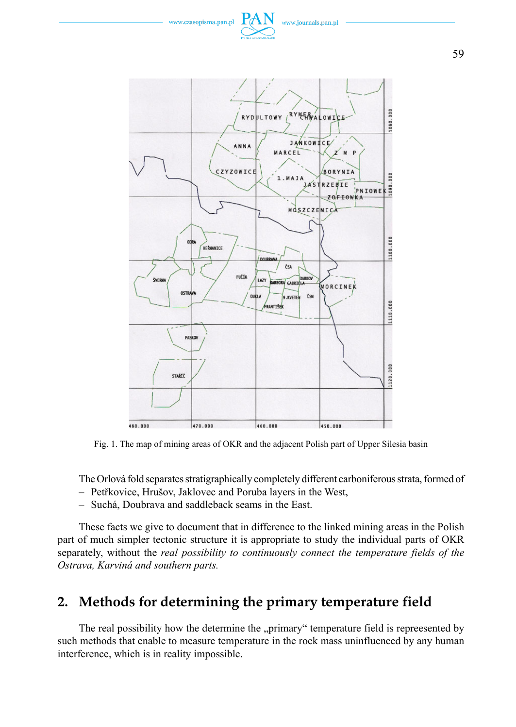



Fig. 1. The map of mining areas of OKR and the adjacent Polish part of Upper Silesia basin

The Orlová fold separates stratigraphically completely different carboniferous strata, formed of

- Petřkovice, Hrušov, Jaklovec and Poruba layers in the West,
- Suchá, Doubrava and saddleback seams in the East.

These facts we give to document that in difference to the linked mining areas in the Polish part of much simpler tectonic structure it is appropriate to study the individual parts of OKR separately, without the *real possibility to continuously connect the temperature fields of the Ostrava, Karviná and southern parts.*

# **2. Methods for determining the primary temperature field**

The real possibility how the determine the "primary" temperature field is repreesented by such methods that enable to measure temperature in the rock mass uninfluenced by any human interference, which is in reality impossible.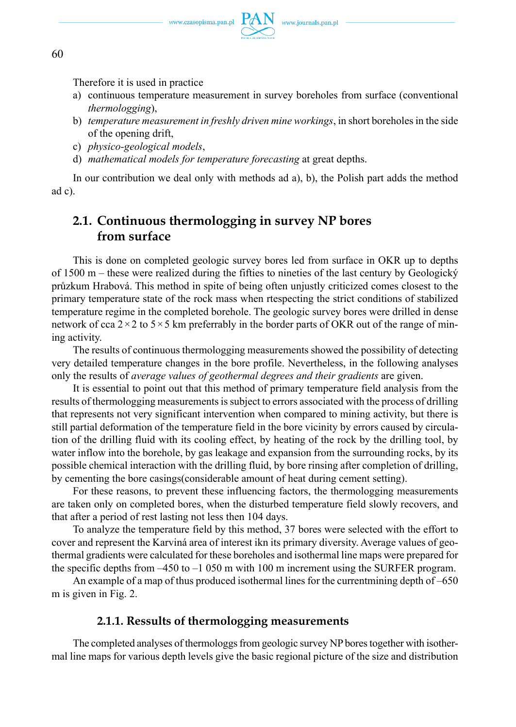

Therefore it is used in practice

- a) continuous temperature measurement in survey boreholes from surface (conventional *thermologging*),
- b) *temperature measurement in freshly driven mine workings*, in short boreholes in the side of the opening drift,
- c) *physico-geological models*,
- d) *mathematical models for temperature forecasting* at great depths.

In our contribution we deal only with methods ad a), b), the Polish part adds the method ad c).

# **2.1. Continuous thermologging in survey NP bores from surface**

This is done on completed geologic survey bores led from surface in OKR up to depths of 1500 m – these were realized during the fifties to nineties of the last century by Geologický průzkum Hrabová. This method in spite of being often unjustly criticized comes closest to the primary temperature state of the rock mass when rtespecting the strict conditions of stabilized temperature regime in the completed borehole. The geologic survey bores were drilled in dense network of cca  $2 \times 2$  to  $5 \times 5$  km preferrably in the border parts of OKR out of the range of mining activity.

The results of continuous thermologging measurements showed the possibility of detecting very detailed temperature changes in the bore profile. Nevertheless, in the following analyses only the results of *average values of geothermal degrees and their gradients* are given.

It is essential to point out that this method of primary temperature field analysis from the results of thermologging measurements is subject to errors associated with the process of drilling that represents not very significant intervention when compared to mining activity, but there is still partial deformation of the temperature field in the bore vicinity by errors caused by circulation of the drilling fluid with its cooling effect, by heating of the rock by the drilling tool, by water inflow into the borehole, by gas leakage and expansion from the surrounding rocks, by its possible chemical interaction with the drilling fluid, by bore rinsing after completion of drilling, by cementing the bore casings(considerable amount of heat during cement setting).

For these reasons, to prevent these influencing factors, the thermologging measurements are taken only on completed bores, when the disturbed temperature field slowly recovers, and that after a period of rest lasting not less then 104 days.

To analyze the temperature field by this method, 37 bores were selected with the effort to cover and represent the Karviná area of interest ikn its primary diversity. Average values of geothermal gradients were calculated for these boreholes and isothermal line maps were prepared for the specific depths from –450 to –1 050 m with 100 m increment using the SURFER program.

An example of a map of thus produced isothermal lines for the currentmining depth of –650 m is given in Fig. 2.

### **2.1.1. Ressults of thermologging measurements**

The completed analyses of thermologgs from geologic survey NP bores together with isothermal line maps for various depth levels give the basic regional picture of the size and distribution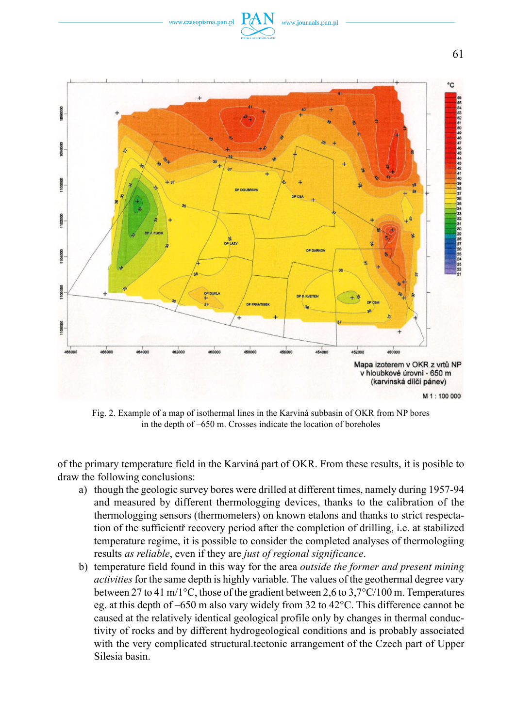



Fig. 2. Example of a map of isothermal lines in the Karviná subbasin of OKR from NP bores in the depth of –650 m. Crosses indicate the location of boreholes

of the primary temperature field in the Karviná part of OKR. From these results, it is posible to draw the following conclusions:

- a) though the geologic survey bores were drilled at different times, namely during 1957-94 and measured by different thermologging devices, thanks to the calibration of the thermologging sensors (thermometers) on known etalons and thanks to strict respectation of the sufficientř recovery period after the completion of drilling, i.e. at stabilized temperature regime, it is possible to consider the completed analyses of thermologiing results *as reliable*, even if they are *just of regional significance*.
- b) temperature field found in this way for the area *outside the former and present mining activities* for the same depth is highly variable. The values of the geothermal degree vary between 27 to 41 m/1°C, those of the gradient between 2,6 to 3,7°C/100 m. Temperatures eg. at this depth of –650 m also vary widely from 32 to 42°C. This difference cannot be caused at the relatively identical geological profile only by changes in thermal conductivity of rocks and by different hydrogeological conditions and is probably associated with the very complicated structural.tectonic arrangement of the Czech part of Upper Silesia basin.

61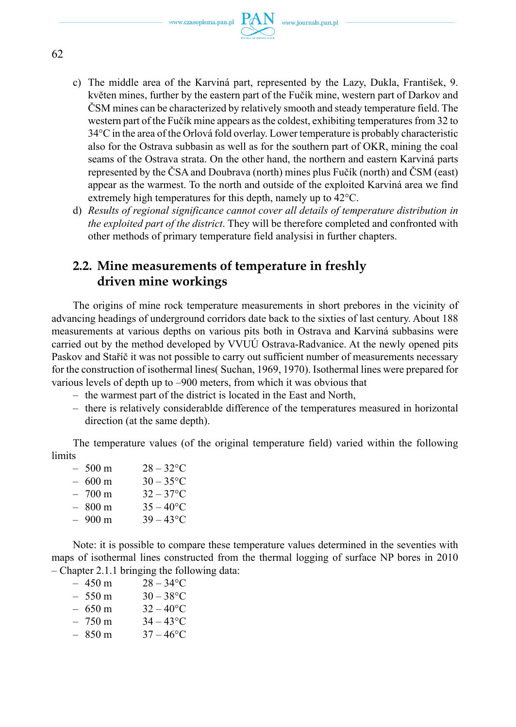

- c) The middle area of the Karviná part, represented by the Lazy, Dukla, František, 9. květen mines, further by the eastern part of the Fučík mine, western part of Darkov and ČSM mines can be characterized by relatively smooth and steady temperature field. The western part of the Fučík mine appears as the coldest, exhibiting temperatures from 32 to 34°C in the area of the Orlová fold overlay. Lower temperature is probably characteristic also for the Ostrava subbasin as well as for the southern part of OKR, mining the coal seams of the Ostrava strata. On the other hand, the northern and eastern Karviná parts represented by the ČSA and Doubrava (north) mines plus Fučík (north) and ČSM (east) appear as the warmest. To the north and outside of the exploited Karviná area we find extremely high temperatures for this depth, namely up to 42°C.
- d) *Results of regional significance cannot cover all details of temperature distribution in the exploited part of the district*. They will be therefore completed and confronted with other methods of primary temperature field analysisi in further chapters.

# **2.2. Mine measurements of temperature in freshly driven mine workings**

The origins of mine rock temperature measurements in short prebores in the vicinity of advancing headings of underground corridors date back to the sixties of last century. About 188 measurements at various depths on various pits both in Ostrava and Karviná subbasins were carried out by the method developed by VVUÚ Ostrava-Radvanice. At the newly opened pits Paskov and Staříč it was not possible to carry out sufficient number of measurements necessary for the construction of isothermal lines( Suchan, 1969, 1970). Isothermal lines were prepared for various levels of depth up to –900 meters, from which it was obvious that

- the warmest part of the district is located in the East and North,
- there is relatively considerablde difference of the temperatures measured in horizontal direction (at the same depth).

The temperature values (of the original temperature field) varied within the following limits

| $-500 \text{ m}$ | $28 - 32$ °C       |
|------------------|--------------------|
| - 600 m          | $30-35$ °C         |
| $-700 \text{ m}$ | $32 - 37$ °C       |
| $-800 m$         | $35 - 40^{\circ}C$ |
| $-900 \text{ m}$ | $39 - 43$ °C       |

Note: it is possible to compare these temperature values determined in the seventies with maps of isothermal lines constructed from the thermal logging of surface NP bores in 2010 – Chapter 2.1.1 bringing the following data:

| $-450 \text{ m}$ | $28 - 34$ °C       |
|------------------|--------------------|
| $-550 \text{ m}$ | $30 - 38$ °C       |
| $-650 \text{ m}$ | $32 - 40^{\circ}C$ |
| $-750 \text{ m}$ | $34 - 43$ °C       |
| $-850 \text{ m}$ | $37 - 46$ °C       |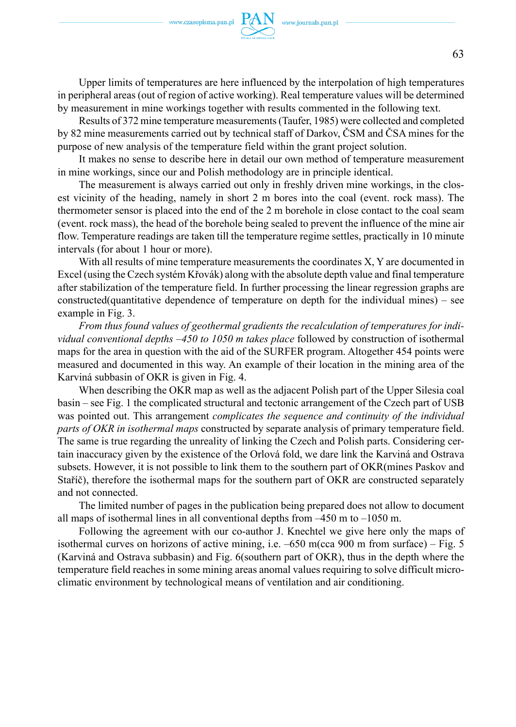

Upper limits of temperatures are here influenced by the interpolation of high temperatures in peripheral areas (out of region of active working). Real temperature values will be determined by measurement in mine workings together with results commented in the following text.

Results of 372 mine temperature measurements (Taufer, 1985) were collected and completed by 82 mine measurements carried out by technical staff of Darkov, ČSM and ČSA mines for the purpose of new analysis of the temperature field within the grant project solution.

It makes no sense to describe here in detail our own method of temperature measurement in mine workings, since our and Polish methodology are in principle identical.

The measurement is always carried out only in freshly driven mine workings, in the closest vicinity of the heading, namely in short 2 m bores into the coal (event. rock mass). The thermometer sensor is placed into the end of the 2 m borehole in close contact to the coal seam (event. rock mass), the head of the borehole being sealed to prevent the influence of the mine air flow. Temperature readings are taken till the temperature regime settles, practically in 10 minute intervals (for about 1 hour or more).

With all results of mine temperature measurements the coordinates X, Y are documented in Excel (using the Czech systém Křovák) along with the absolute depth value and final temperature after stabilization of the temperature field. In further processing the linear regression graphs are constructed(quantitative dependence of temperature on depth for the individual mines) – see example in Fig. 3.

*From thus found values of geothermal gradients the recalculation of temperatures for individual conventional depths –450 to 1050 m takes place* followed by construction of isothermal maps for the area in question with the aid of the SURFER program. Altogether 454 points were measured and documented in this way. An example of their location in the mining area of the Karviná subbasin of OKR is given in Fig. 4.

When describing the OKR map as well as the adjacent Polish part of the Upper Silesia coal basin – see Fig. 1 the complicated structural and tectonic arrangement of the Czech part of USB was pointed out. This arrangement *complicates the sequence and continuity of the individual parts of OKR in isothermal maps* constructed by separate analysis of primary temperature field. The same is true regarding the unreality of linking the Czech and Polish parts. Considering certain inaccuracy given by the existence of the Orlová fold, we dare link the Karviná and Ostrava subsets. However, it is not possible to link them to the southern part of OKR(mines Paskov and Staříč), therefore the isothermal maps for the southern part of OKR are constructed separately and not connected.

The limited number of pages in the publication being prepared does not allow to document all maps of isothermal lines in all conventional depths from –450 m to –1050 m.

Following the agreement with our co-author J. Knechtel we give here only the maps of isothermal curves on horizons of active mining, i.e. –650 m(cca 900 m from surface) – Fig. 5 (Karviná and Ostrava subbasin) and Fig. 6(southern part of OKR), thus in the depth where the temperature field reaches in some mining areas anomal values requiring to solve difficult microclimatic environment by technological means of ventilation and air conditioning.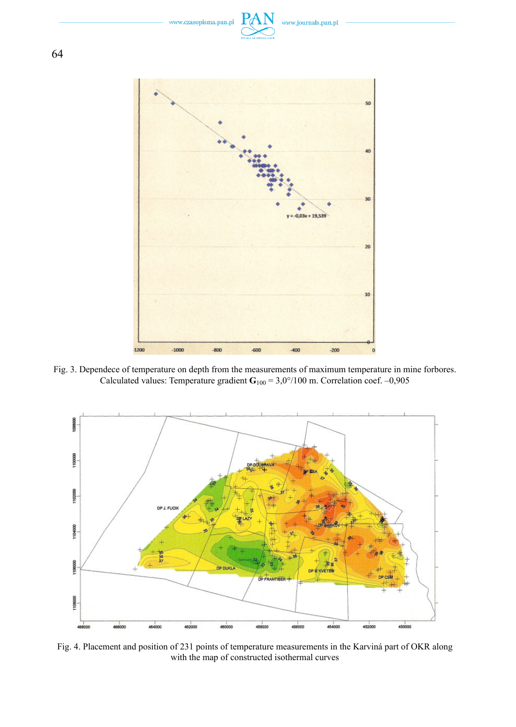

www.czasopisma.pan.pl

www.journals.pan.pl

Fig. 3. Dependece of temperature on depth from the measurements of maximum temperature in mine forbores. Calculated values: Temperature gradient  $G_{100} = 3.0^{\circ}/100$  m. Correlation coef.  $-0.905$ 



Fig. 4. Placement and position of 231 points of temperature measurements in the Karviná part of OKR along with the map of constructed isothermal curves

64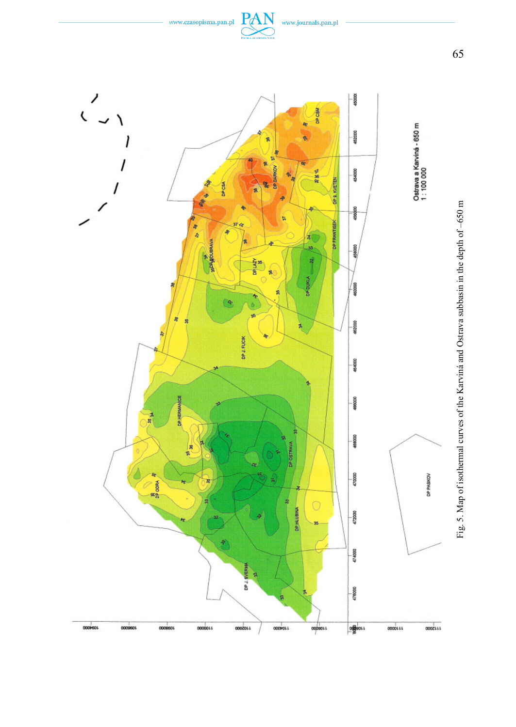

Fig. 5. Map of isothermal curves of the Karviná and Ostrava subbasin in the depth of -650 m Fig. 5. Map of isothermal curves of the Karviná and Ostrava subbasin in the depth of –650 m

65

PAN www.journals.pan.pl www.czasopisma.pan.pl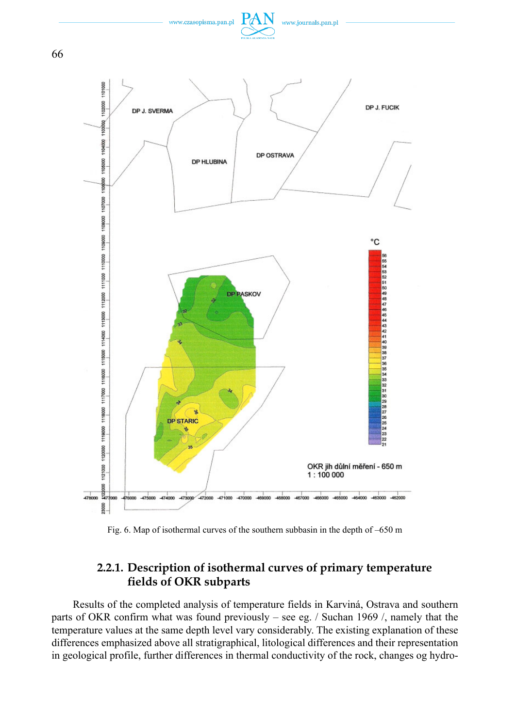

Fig. 6. Map of isothermal curves of the southern subbasin in the depth of –650 m

### **2.2.1. Description of isothermal curves of primary temperature fields of OKR subparts**

Results of the completed analysis of temperature fields in Karviná, Ostrava and southern parts of OKR confirm what was found previously – see eg. / Suchan 1969 /, namely that the temperature values at the same depth level vary considerably. The existing explanation of these differences emphasized above all stratigraphical, litological differences and their representation in geological profile, further differences in thermal conductivity of the rock, changes og hydro-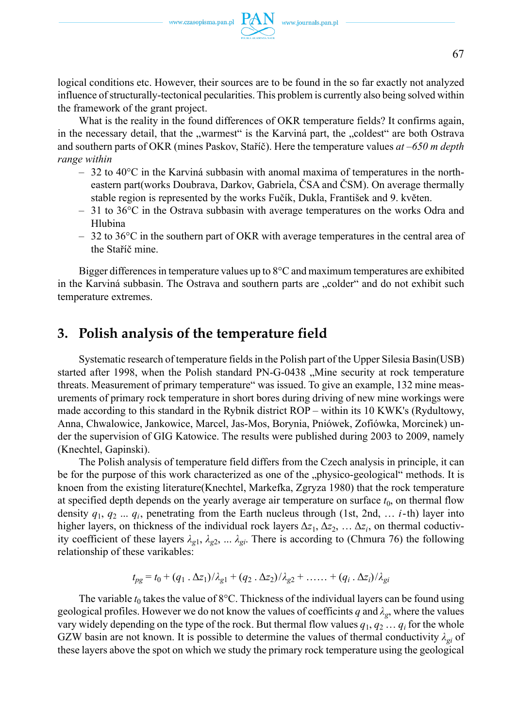logical conditions etc. However, their sources are to be found in the so far exactly not analyzed influence of structurally-tectonical pecularities. This problem is currently also being solved within the framework of the grant project.

What is the reality in the found differences of OKR temperature fields? It confirms again, in the necessary detail, that the "warmest" is the Karviná part, the "coldest" are both Ostrava and southern parts of OKR (mines Paskov, Staříč). Here the temperature values *at –650 m depth range within*

- $-$  32 to 40 $^{\circ}$ C in the Karviná subbasin with anomal maxima of temperatures in the northeastern part(works Doubrava, Darkov, Gabriela, ČSA and ČSM). On average thermally stable region is represented by the works Fučík, Dukla, František and 9. květen.
- 31 to 36°C in the Ostrava subbasin with average temperatures on the works Odra and Hlubina
- $-32$  to 36 $\degree$ C in the southern part of OKR with average temperatures in the central area of the Staříč mine.

Bigger differences in temperature values up to 8°C and maximum temperatures are exhibited in the Karviná subbasin. The Ostrava and southern parts are "colder" and do not exhibit such temperature extremes.

## **3. Polish analysis of the temperature field**

Systematic research of temperature fields in the Polish part of the Upper Silesia Basin(USB) started after 1998, when the Polish standard PN-G-0438 . Mine security at rock temperature threats. Measurement of primary temperature" was issued. To give an example, 132 mine measurements of primary rock temperature in short bores during driving of new mine workings were made according to this standard in the Rybnik district ROP – within its 10 KWK's (Rydultowy, Anna, Chwalowice, Jankowice, Marcel, Jas-Mos, Borynia, Pniówek, Zofiówka, Morcinek) under the supervision of GIG Katowice. The results were published during 2003 to 2009, namely (Knechtel, Gapinski).

The Polish analysis of temperature field differs from the Czech analysis in principle, it can be for the purpose of this work characterized as one of the "physico-geological" methods. It is knoen from the existing literature(Knechtel, Markefka, Zgryza 1980) that the rock temperature at specified depth depends on the yearly average air temperature on surface  $t<sub>0</sub>$ , on thermal flow density  $q_1, q_2, \ldots, q_i$ , penetrating from the Earth nucleus through (1st, 2nd,  $\ldots$  *i*-th) layer into higher layers, on thickness of the individual rock layers  $\Delta z_1, \Delta z_2, \ldots \Delta z_i$ , on thermal coductivity coefficient of these layers  $\lambda_{g1}$ ,  $\lambda_{g2}$ , ...  $\lambda_{gi}$ . There is according to (Chmura 76) the following relationship of these varikables:

$$
t_{pg} = t_0 + (q_1 \cdot \Delta z_1)/\lambda_{g1} + (q_2 \cdot \Delta z_2)/\lambda_{g2} + \ldots + (q_i \cdot \Delta z_i)/\lambda_{gi}
$$

The variable  $t_0$  takes the value of  $8^{\circ}$ C. Thickness of the individual layers can be found using geological profiles. However we do not know the values of coefficints *q* and  $\lambda_g$ , where the values vary widely depending on the type of the rock. But thermal flow values  $q_1, q_2, \ldots, q_i$  for the whole GZW basin are not known. It is possible to determine the values of thermal conductivity *λgi* of these layers above the spot on which we study the primary rock temperature using the geological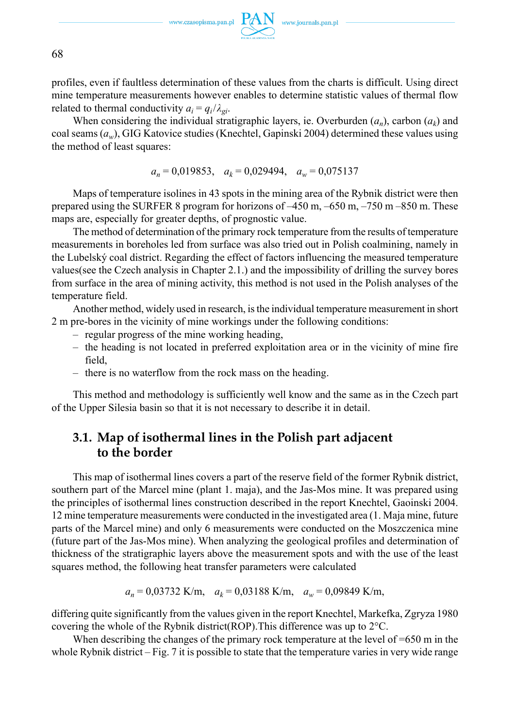

profiles, even if faultless determination of these values from the charts is difficult. Using direct mine temperature measurements however enables to determine statistic values of thermal flow related to thermal conductivity  $a_i = q_i/\lambda_{gi}$ .

When considering the individual stratigraphic layers, ie. Overburden  $(a_n)$ , carbon  $(a_k)$  and coal seams (*aw*), GIG Katovice studies (Knechtel, Gapinski 2004) determined these values using the method of least squares:

$$
a_n = 0.019853
$$
,  $a_k = 0.029494$ ,  $a_w = 0.075137$ 

Maps of temperature isolines in 43 spots in the mining area of the Rybnik district were then prepared using the SURFER 8 program for horizons of –450 m, –650 m, –750 m –850 m. These maps are, especially for greater depths, of prognostic value.

The method of determination of the primary rock temperature from the results of temperature measurements in boreholes led from surface was also tried out in Polish coalmining, namely in the Lubelský coal district. Regarding the effect of factors influencing the measured temperature values(see the Czech analysis in Chapter 2.1.) and the impossibility of drilling the survey bores from surface in the area of mining activity, this method is not used in the Polish analyses of the temperature field.

Another method, widely used in research, is the individual temperature measurement in short 2 m pre-bores in the vicinity of mine workings under the following conditions:

- regular progress of the mine working heading,
- the heading is not located in preferred exploitation area or in the vicinity of mine fire field,
- there is no waterflow from the rock mass on the heading.

This method and methodology is sufficiently well know and the same as in the Czech part of the Upper Silesia basin so that it is not necessary to describe it in detail.

## **3.1. Map of isothermal lines in the Polish part adjacent to the border**

This map of isothermal lines covers a part of the reserve field of the former Rybnik district, southern part of the Marcel mine (plant 1. maja), and the Jas-Mos mine. It was prepared using the principles of isothermal lines construction described in the report Knechtel, Gaoinski 2004. 12 mine temperature measurements were conducted in the investigated area (1. Maja mine, future parts of the Marcel mine) and only 6 measurements were conducted on the Moszczenica mine (future part of the Jas-Mos mine). When analyzing the geological profiles and determination of thickness of the stratigraphic layers above the measurement spots and with the use of the least squares method, the following heat transfer parameters were calculated

$$
a_n = 0.03732
$$
 K/m,  $a_k = 0.03188$  K/m,  $a_w = 0.09849$  K/m,

differing quite significantly from the values given in the report Knechtel, Markefka, Zgryza 1980 covering the whole of the Rybnik district(ROP).This difference was up to 2°C.

When describing the changes of the primary rock temperature at the level of =650 m in the whole Rybnik district  $-Fig. 7$  it is possible to state that the temperature varies in very wide range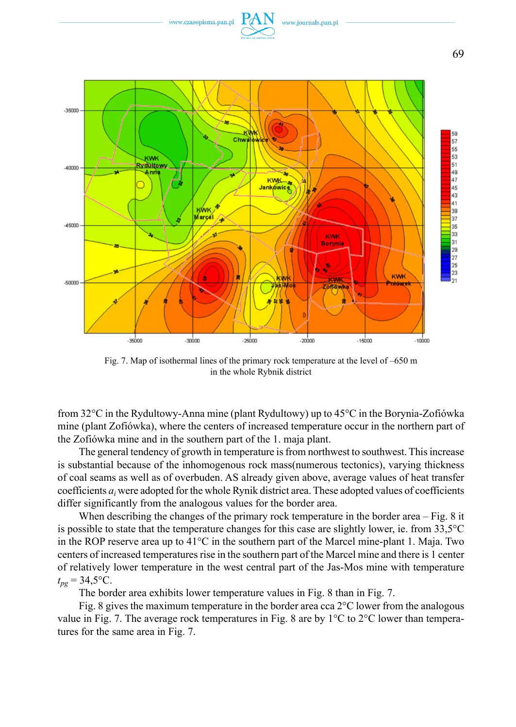

Fig. 7. Map of isothermal lines of the primary rock temperature at the level of –650 m in the whole Rybnik district

from 32°C in the Rydultowy-Anna mine (plant Rydultowy) up to 45°C in the Borynia-Zofiówka mine (plant Zofiówka), where the centers of increased temperature occur in the northern part of the Zofiówka mine and in the southern part of the 1. maja plant.

The general tendency of growth in temperature is from northwest to southwest. This increase is substantial because of the inhomogenous rock mass(numerous tectonics), varying thickness of coal seams as well as of overbuden. AS already given above, average values of heat transfer coefficients *ai* were adopted for the whole Rynik district area. These adopted values of coefficients differ significantly from the analogous values for the border area.

When describing the changes of the primary rock temperature in the border area – Fig. 8 it is possible to state that the temperature changes for this case are slightly lower, ie. from 33,5°C in the ROP reserve area up to  $41^{\circ}$ C in the southern part of the Marcel mine-plant 1. Maja. Two centers of increased temperatures rise in the southern part of the Marcel mine and there is 1 center of relatively lower temperature in the west central part of the Jas-Mos mine with temperature  $t_{pg} = 34,5$ °C.

The border area exhibits lower temperature values in Fig. 8 than in Fig. 7.

Fig. 8 gives the maximum temperature in the border area cca  $2^{\circ}$ C lower from the analogous value in Fig. 7. The average rock temperatures in Fig. 8 are by 1°C to 2°C lower than temperatures for the same area in Fig. 7.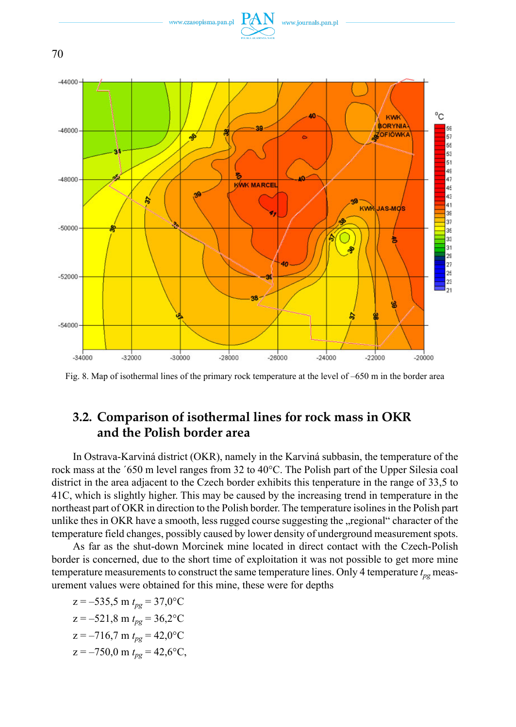

Fig. 8. Map of isothermal lines of the primary rock temperature at the level of –650 m in the border area

# **3.2. Comparison of isothermal lines for rock mass in OKR and the Polish border area**

In Ostrava-Karviná district (OKR), namely in the Karviná subbasin, the temperature of the rock mass at the ´650 m level ranges from 32 to 40°C. The Polish part of the Upper Silesia coal district in the area adjacent to the Czech border exhibits this tenperature in the range of 33,5 to 41C, which is slightly higher. This may be caused by the increasing trend in temperature in the northeast part of OKR in direction to the Polish border. The temperature isolines in the Polish part unlike thes in OKR have a smooth, less rugged course suggesting the "regional" character of the temperature field changes, possibly caused by lower density of underground measurement spots.

As far as the shut-down Morcinek mine located in direct contact with the Czech-Polish border is concerned, due to the short time of exploitation it was not possible to get more mine temperature measurements to construct the same temperature lines. Only 4 temperature  $t_{p\sigma}$  measurement values were obtained for this mine, these were for depths

$$
z = -535.5 \text{ m } t_{pg} = 37.0^{\circ}\text{C}
$$
  
\n
$$
z = -521.8 \text{ m } t_{pg} = 36.2^{\circ}\text{C}
$$
  
\n
$$
z = -716.7 \text{ m } t_{pg} = 42.0^{\circ}\text{C}
$$
  
\n
$$
z = -750.0 \text{ m } t_{pg} = 42.6^{\circ}\text{C},
$$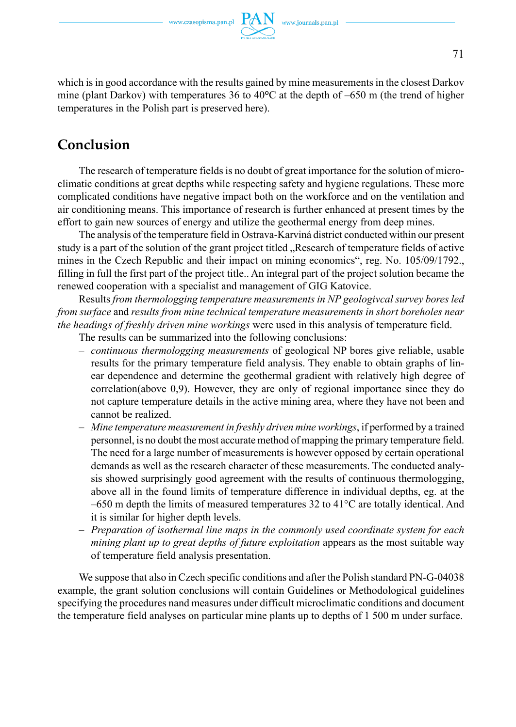which is in good accordance with the results gained by mine measurements in the closest Darkov mine (plant Darkov) with temperatures 36 to 40**°**C at the depth of –650 m (the trend of higher temperatures in the Polish part is preserved here).

# **Conclusion**

The research of temperature fields is no doubt of great importance for the solution of microclimatic conditions at great depths while respecting safety and hygiene regulations. These more complicated conditions have negative impact both on the workforce and on the ventilation and air conditioning means. This importance of research is further enhanced at present times by the effort to gain new sources of energy and utilize the geothermal energy from deep mines.

The analysis of the temperature field in Ostrava-Karviná district conducted within our present study is a part of the solution of the grant project titled "Research of temperature fields of active mines in the Czech Republic and their impact on mining economics", reg. No. 105/09/1792., filling in full the first part of the project title.. An integral part of the project solution became the renewed cooperation with a specialist and management of GIG Katovice.

Results *from thermologging temperature measurements in NP geologivcal survey bores led from surface* and *results from mine technical temperature measurements in short boreholes near the headings of freshly driven mine workings* were used in this analysis of temperature field.

The results can be summarized into the following conclusions:

- *continuous thermologging measurements* of geological NP bores give reliable, usable results for the primary temperature field analysis. They enable to obtain graphs of linear dependence and determine the geothermal gradient with relatively high degree of correlation(above 0,9). However, they are only of regional importance since they do not capture temperature details in the active mining area, where they have not been and cannot be realized.
- *Mine temperature measurement in freshly driven mine workings*, if performed by a trained personnel, is no doubt the most accurate method of mapping the primary temperature field. The need for a large number of measurements is however opposed by certain operational demands as well as the research character of these measurements. The conducted analysis showed surprisingly good agreement with the results of continuous thermologging, above all in the found limits of temperature difference in individual depths, eg. at the  $-650$  m depth the limits of measured temperatures 32 to 41 $\degree$ C are totally identical. And it is similar for higher depth levels.
- *Preparation of isothermal line maps in the commonly used coordinate system for each mining plant up to great depths of future exploitation* appears as the most suitable way of temperature field analysis presentation.

We suppose that also in Czech specific conditions and after the Polish standard PN-G-04038 example, the grant solution conclusions will contain Guidelines or Methodological guidelines specifying the procedures nand measures under difficult microclimatic conditions and document the temperature field analyses on particular mine plants up to depths of 1 500 m under surface.